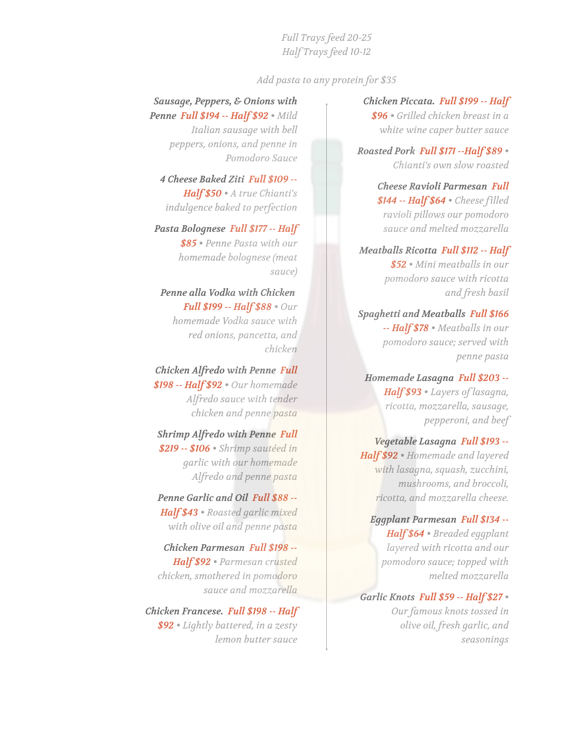*Full Trays feed 20-25 Half Trays feed 10-12*

*Add pasta to any protein for \$35*

## *Sausage, Peppers, & Onions with Penne Full \$194 -- Half \$92 • Mild*

*Italian sausage with bell peppers, onions, and penne in Pomodoro Sauce*

*4 Cheese Baked Ziti Full \$109 -- Half \$50 • A true Chianti's indulgence baked to perfection*

*Pasta Bolognese Full \$177 -- Half \$85 • Penne Pasta with our homemade bolognese (meat sauce)*

*Penne alla Vodka with Chicken Full \$199 -- Half \$88 • Our homemade Vodka sauce with red onions, pancetta, and chicken*

*Chicken Alfredo with Penne Full \$198 -- Half \$92 • Our homemade Alfredo sauce with tender chicken and penne pasta*

*Shrimp Alfredo with Penne Full \$219 -- \$106 • Shrimp sautéed in garlic with our homemade Alfredo and penne pasta*

*Penne Garlic and Oil Full \$88 -- Half \$43 • Roasted garlic mixed with olive oil and penne pasta*

*Chicken Parmesan Full \$198 -- Half \$92 • Parmesan crusted chicken, smothered in pomodoro sauce and mozzarella*

*Chicken Francese. Full \$198 -- Half \$92 • Lightly battered, in a zesty lemon butter sauce*

## *Chicken Piccata. Full \$199 -- Half*

*\$96 • Grilled chicken breast in a white wine caper butter sauce*

*Roasted Pork Full \$171 --Half \$89 • Chianti's own slow roasted*

> *Cheese Ravioli Parmesan Full \$144 -- Half \$64 • Cheese filled ravioli pillows our pomodoro sauce and melted mozzarella*

*Meatballs Ricotta Full \$112 -- Half \$52 • Mini meatballs in our pomodoro sauce with ricotta and fresh basil*

*Spaghetti and Meatballs Full \$166 -- Half \$78 • Meatballs in our pomodoro sauce; served with penne pasta*

*Homemade Lasagna Full \$203 -- Half \$93 • Layers of lasagna, ricotta, mozzarella, sausage, pepperoni, and beef*

*Vegetable Lasagna Full \$193 -- Half \$92 • Homemade and layered with lasagna, squash, zucchini, mushrooms, and broccoli, ricotta, and mozzarella cheese.*

*Eggplant Parmesan Full \$134 -- Half \$64 • Breaded eggplant layered with ricotta and our pomodoro sauce; topped with melted mozzarella*

*Garlic Knots Full \$59 -- Half \$27 • Our famous knots tossed in olive oil, fresh garlic, and seasonings*